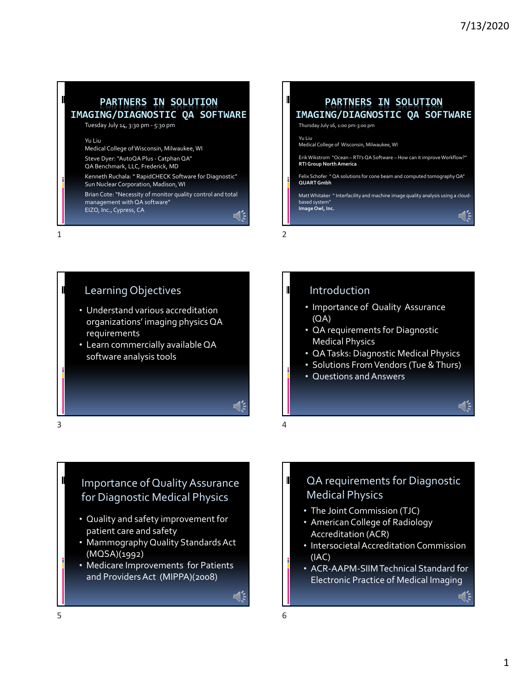#### **PARTNERS IN SOLUTION IMAGING/DIAGNOSTIC QA SOFTWARE**

Tuesday July 14, 3:30 pm ‐ 5:30 pm

#### Yu Liu

Medical College of Wisconsin, Milwaukee, WI

Steve Dyer: "AutoQA Plus - Catphan QA"

QA Benchmark, LLC, Frederick, MD

Kenneth Ruchala: " RapidCHECK Software for Diagnostic" Sun Nuclear Corporation, Madison,WI

Brian Cote: "Necessity of monitor quality control and total management with QA software" EIZO, Inc., Cypress, CA

 $\mathbb{C}$  is

 $1$  2

#### **PARTNERS IN SOLUTION IMAGING/DIAGNOSTIC QA SOFTWARE**

Thursday July 16, 1:00 pm‐3:00 pm

Yu Liu Medical College of Wisconsin, Milwaukee, WI

ErikWikstrom "Ocean – RTI's QA Software – How can it improveWorkflow?" **RTIGroup NorthAmerica**

Felix Schofer " QA solutions for cone beam and computed tomographyQA" **QUARTGmbh**

Matt Whitaker "Interfacility and machine image quality analysis using a cloudbased system" **ImageOwl, Inc.**

# Learning Objectives

- Understand various accreditation organizations' imaging physics QA requirements
- Learn commercially availableQA software analysis tools

#### Introduction

- Importance of Quality Assurance (QA)
- QA requirements for Diagnostic Medical Physics
- QATasks: Diagnostic Medical Physics
- Solutions From Vendors (Tue & Thurs)
- Questions andAnswers

 $3 \overline{4}$ 

#### Importance of QualityAssurance for Diagnostic Medical Physics

- Quality and safety improvement for patient care and safety
- Mammography Quality Standards Act (MQSA)(1992)
- Medicare Improvements for Patients and ProvidersAct (MIPPA)(2008)

 $\mathbb{Q}^{\bullet}_{\mathbb{S}}$ 

#### QA requirements for Diagnostic Medical Physics

- The Joint Commission (TJC)
- American College of Radiology Accreditation (ACR)
- Intersocietal Accreditation Commission (IAC)
- ACR‐AAPM‐SIIMTechnical Standard for Electronic Practice of Medical Imaging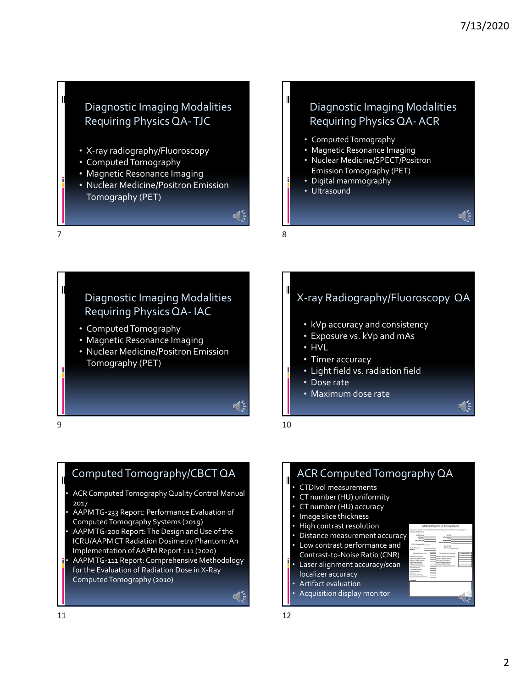#### Diagnostic Imaging Modalities Requiring Physics QA‐TJC

- X‐ray radiography/Fluoroscopy
- ComputedTomography
- Magnetic Resonance Imaging
- Nuclear Medicine/Positron Emission Tomography (PET)

# $\sqrt{\frac{2}{3}}$

 $7$  8

## Diagnostic Imaging Modalities Requiring Physics QA‐ IAC

- ComputedTomography
- Magnetic Resonance Imaging
- Nuclear Medicine/Positron Emission Tomography (PET)

#### Diagnostic Imaging Modalities Requiring Physics QA‐ACR

- ComputedTomography
- Magnetic Resonance Imaging
- Nuclear Medicine/SPECT/Positron Emission Tomography (PET)
- Digital mammography
- Ultrasound

#### X‐ray Radiography/Fluoroscopy QA

- kVp accuracy and consistency
- Exposure vs. kVp and mAs
- HVL
- Timer accuracy
- Light field vs. radiation field
- Dose rate
- Maximum dose rate

 $9 \hspace{2.5cm} 10$ 

 $\mathbb{C}$  is

#### Computed Tomography/CBCT QA

- ACR Computed Tomography Quality Control Manual 2017
- AAPMTG‐233 Report: Performance Evaluation of ComputedTomography Systems (2019)
- AAPMTG‐200 Report:The Design and Use of the ICRU/AAPM CT Radiation Dosimetry Phantom:An Implementation ofAAPM Report 111 (2020)
- AAPMTG‐111 Report: Comprehensive Methodology for the Evaluation of Radiation Dose in X‐Ray ComputedTomography (2010)

 $\mathbb{Q}^{\bullet}_{\mathbb{S}}$ 

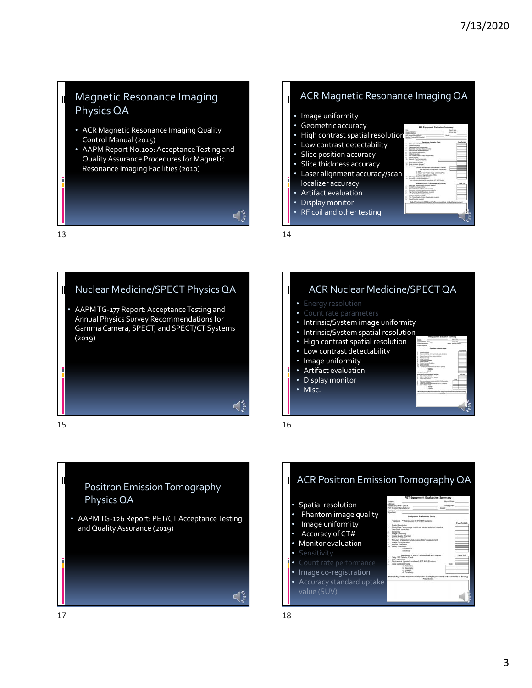#### Magnetic Resonance Imaging Physics QA **•** Image uniformity

- ACR Magnetic Resonance Imaging Quality Control Manual (2015)
- AAPM Report No.100: Acceptance Testing and QualityAssurance Procedures for Magnetic Resonance Imaging Facilities (2010)

 $13$  14





#### ACR Magnetic Resonance Imaging QA

- 
- Geometric accuracy
- High contrast spatial resolution
- Low contrast detectability
- Slice position accuracy
- Slice thickness accuracy
- Laser alignment accuracy/scar localizer accuracy
- Artifact evaluation
- Display monitor
- RF coil and other testing

#### ACR Nuclear Medicine/SPECT QA

- 
- 
- Intrinsic/System image uniformity
- Intrinsic/System spatial resolution
- High contrast spatial resolution
- Low contrast detectability
- Image uniformity
- Artifact evaluation
- Display monitor
- Misc.
- 



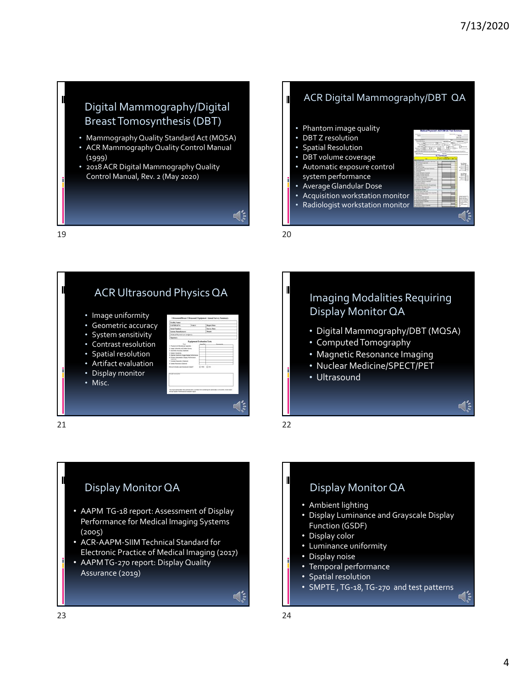### Digital Mammography/Digital Breast Tomosynthesis (DBT) • Phantom image quality

- MammographyQuality Standard Act (MQSA)
- ACR Mammography Quality Control Manual (1999)
- 2018 ACR Digital Mammography Quality Control Manual, Rev. 2 (May 2020)

 $\triangleleft$ 

 $19$  20

#### ACR Digital Mammography/DBT QA

- 
- DBT Z resolution
- Spatial Resolution
- DBT volume coverage • Automatic exposure control
- system performance
- AverageGlandular Dose
- Acquisition workstation monitor
- Radiologist workstation monitor









- Digital Mammography/DBT (MQSA)
- ComputedTomography
- Magnetic Resonance Imaging
- Nuclear Medicine/SPECT/PET
- Ultrasound

#### Display Monitor QA

- AAPM TG-18 report: Assessment of Display Performance for Medical Imaging Systems (2005)
- ACR‐AAPM‐SIIMTechnical Standard for Electronic Practice of Medical Imaging (2017)
- AAPMTG‐270 report: Display Quality Assurance (2019)

# Display Monitor QA

- Ambient lighting
- Display Luminance and Grayscale Display Function (GSDF)
- Display color
- Luminance uniformity
- Display noise
- Temporal performance
- Spatial resolution
- SMPTE ,TG‐18,TG‐270 and test patterns